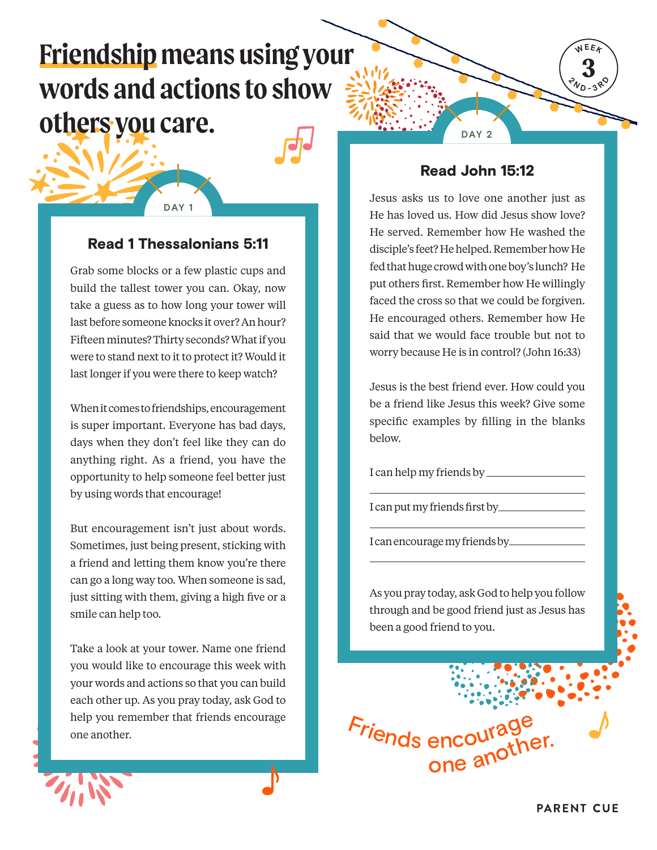# **Friendship means using your words and actions to show others you care.**

## Read 1 Thessalonians 5:11

**DAY 1**

Grab some blocks or a few plastic cups and build the tallest tower you can. Okay, now take a guess as to how long your tower will last before someone knocks it over? An hour? Fifteen minutes? Thirty seconds? What if you were to stand next to it to protect it? Would it last longer if you were there to keep watch?

When it comes to friendships, encouragement is super important. Everyone has bad days, days when they don't feel like they can do anything right. As a friend, you have the opportunity to help someone feel better just by using words that encourage!

But encouragement isn't just about words. Sometimes, just being present, sticking with a friend and letting them know you're there can go a long way too. When someone is sad, just sitting with them, giving a high five or a smile can help too.

Take a look at your tower. Name one friend you would like to encourage this week with your words and actions so that you can build each other up. As you pray today, ask God to help you remember that friends encourage one another.

**DAY 2**

**3 WEEK**

 $\sqrt[2]{v_D}$ **1**  $38^\circ$ 

#### Read John 15:12

Jesus asks us to love one another just as He has loved us. How did Jesus show love? He served. Remember how He washed the disciple's feet? He helped. Remember how He fed that huge crowd with one boy's lunch? He put others first. Remember how He willingly faced the cross so that we could be forgiven. He encouraged others. Remember how He said that we would face trouble but not to worry because He is in control? (John 16:33)

Jesus is the best friend ever. How could you be a friend like Jesus this week? Give some specific examples by filling in the blanks below.

I can help my friends by

I can put my friends first by

I can encourage my friends by

As you pray today, ask God to help you follow through and be good friend just as Jesus has been a good friend to you.

Friends encoura <sup>o</sup>n<sup>e</sup> <sup>a</sup>nother.